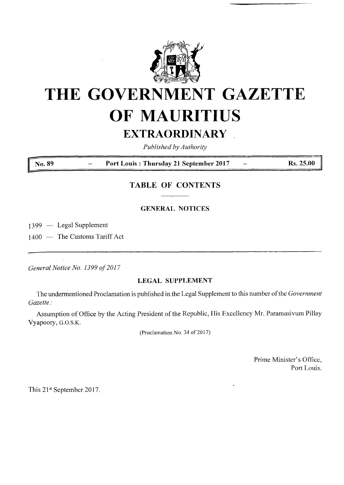

# **THE GOVERNMENT GAZETTE OF MAURITIUS EXTRAORDINARY**

*Published by Authority*

**No. <sup>89</sup> - Port Louis : Thursday <sup>21</sup> September <sup>2017</sup> - Rs. 25.00 <sup>j</sup>**

# **TABLE OF CONTENTS**

## **GENERAL NOTICES**

1399 — Legal Supplement

1400 — The Customs Tariff Act

*General Notice No. 1399 of2017*

#### **LEGAL SUPPLEMENT**

The undermentioned Proclamation is published in the Legal Supplement to this number ofthe *Government Gazette:*

Assumption of Office by the Acting President of the Republic, His Excellency Mr. Paramasivum Pillay Vyapoory, G.O.S.K.

(Proclamation No. 34 of 2017)

Prime Minister's Office, Port Louis.

This 21st September 2017.